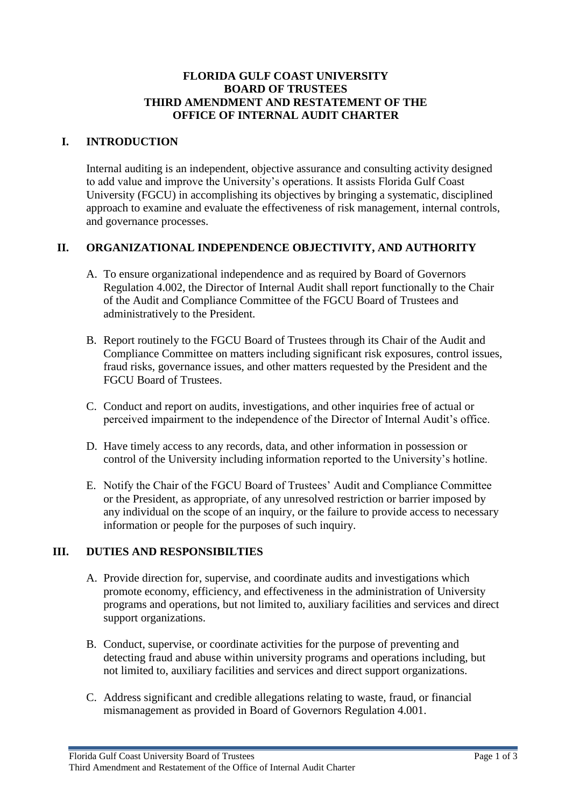#### **FLORIDA GULF COAST UNIVERSITY BOARD OF TRUSTEES THIRD AMENDMENT AND RESTATEMENT OF THE OFFICE OF INTERNAL AUDIT CHARTER**

### **I. INTRODUCTION**

Internal auditing is an independent, objective assurance and consulting activity designed to add value and improve the University's operations. It assists Florida Gulf Coast University (FGCU) in accomplishing its objectives by bringing a systematic, disciplined approach to examine and evaluate the effectiveness of risk management, internal controls, and governance processes.

## **II. ORGANIZATIONAL INDEPENDENCE OBJECTIVITY, AND AUTHORITY**

- A. To ensure organizational independence and as required by Board of Governors Regulation 4.002, the Director of Internal Audit shall report functionally to the Chair of the Audit and Compliance Committee of the FGCU Board of Trustees and administratively to the President.
- B. Report routinely to the FGCU Board of Trustees through its Chair of the Audit and Compliance Committee on matters including significant risk exposures, control issues, fraud risks, governance issues, and other matters requested by the President and the FGCU Board of Trustees.
- C. Conduct and report on audits, investigations, and other inquiries free of actual or perceived impairment to the independence of the Director of Internal Audit's office.
- D. Have timely access to any records, data, and other information in possession or control of the University including information reported to the University's hotline.
- E. Notify the Chair of the FGCU Board of Trustees' Audit and Compliance Committee or the President, as appropriate, of any unresolved restriction or barrier imposed by any individual on the scope of an inquiry, or the failure to provide access to necessary information or people for the purposes of such inquiry.

# **III. DUTIES AND RESPONSIBILTIES**

- A. Provide direction for, supervise, and coordinate audits and investigations which promote economy, efficiency, and effectiveness in the administration of University programs and operations, but not limited to, auxiliary facilities and services and direct support organizations.
- B. Conduct, supervise, or coordinate activities for the purpose of preventing and detecting fraud and abuse within university programs and operations including, but not limited to, auxiliary facilities and services and direct support organizations.
- C. Address significant and credible allegations relating to waste, fraud, or financial mismanagement as provided in Board of Governors Regulation 4.001.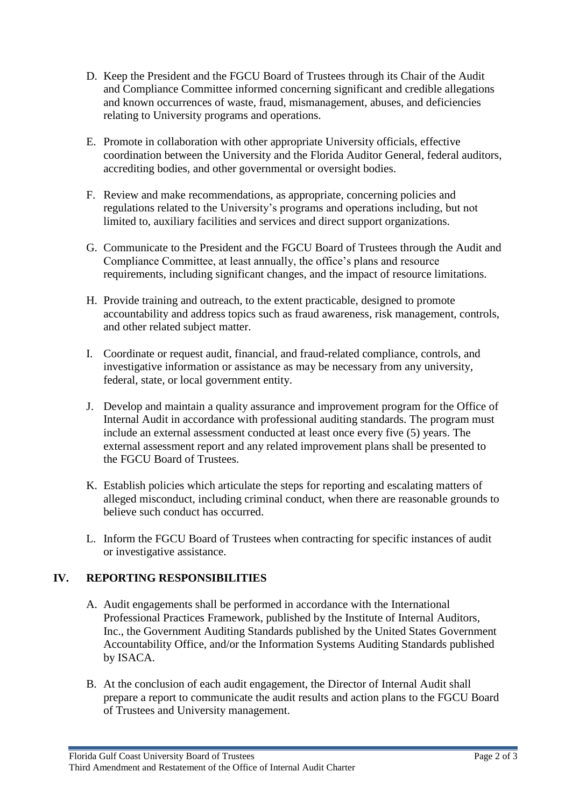- D. Keep the President and the FGCU Board of Trustees through its Chair of the Audit and Compliance Committee informed concerning significant and credible allegations and known occurrences of waste, fraud, mismanagement, abuses, and deficiencies relating to University programs and operations.
- E. Promote in collaboration with other appropriate University officials, effective coordination between the University and the Florida Auditor General, federal auditors, accrediting bodies, and other governmental or oversight bodies.
- F. Review and make recommendations, as appropriate, concerning policies and regulations related to the University's programs and operations including, but not limited to, auxiliary facilities and services and direct support organizations.
- G. Communicate to the President and the FGCU Board of Trustees through the Audit and Compliance Committee, at least annually, the office's plans and resource requirements, including significant changes, and the impact of resource limitations.
- H. Provide training and outreach, to the extent practicable, designed to promote accountability and address topics such as fraud awareness, risk management, controls, and other related subject matter.
- I. Coordinate or request audit, financial, and fraud-related compliance, controls, and investigative information or assistance as may be necessary from any university, federal, state, or local government entity.
- J. Develop and maintain a quality assurance and improvement program for the Office of Internal Audit in accordance with professional auditing standards. The program must include an external assessment conducted at least once every five (5) years. The external assessment report and any related improvement plans shall be presented to the FGCU Board of Trustees.
- K. Establish policies which articulate the steps for reporting and escalating matters of alleged misconduct, including criminal conduct, when there are reasonable grounds to believe such conduct has occurred.
- L. Inform the FGCU Board of Trustees when contracting for specific instances of audit or investigative assistance.

#### **IV. REPORTING RESPONSIBILITIES**

- A. Audit engagements shall be performed in accordance with the International Professional Practices Framework, published by the Institute of Internal Auditors, Inc., the Government Auditing Standards published by the United States Government Accountability Office, and/or the Information Systems Auditing Standards published by ISACA.
- B. At the conclusion of each audit engagement, the Director of Internal Audit shall prepare a report to communicate the audit results and action plans to the FGCU Board of Trustees and University management.